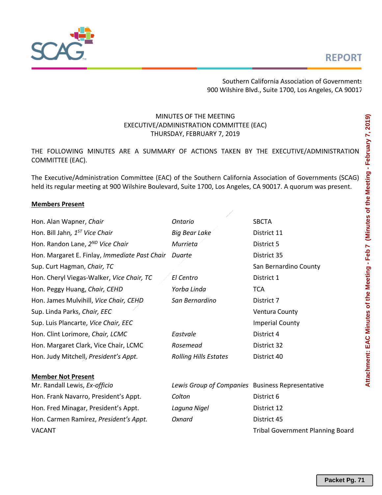

Southern California Association of Governments 900 Wilshire Blvd., Suite 1700, Los Angeles, CA 90017

## MINUTES OF THE MEETING EXECUTIVE/ADMINISTRATION COMMITTEE (EAC) THURSDAY, FEBRUARY 7, 2019

THE FOLLOWING MINUTES ARE A SUMMARY OF ACTIONS TAKEN BY THE EXECUTIVE/ADMINISTRATION COMMITTEE (EAC).

The Executive/Administration Committee (EAC) of the Southern California Association of Governments (SCAG) held its regular meeting at 900 Wilshire Boulevard, Suite 1700, Los Angeles, CA 90017. A quorum was present.

### **Members Present**

| Hon. Alan Wapner, Chair                       | <b>Ontario</b>                                   | <b>SBCTA</b>                            |
|-----------------------------------------------|--------------------------------------------------|-----------------------------------------|
| Hon. Bill Jahn, 1 <sup>ST</sup> Vice Chair    | <b>Big Bear Lake</b>                             | District 11                             |
| Hon. Randon Lane, 2 <sup>ND</sup> Vice Chair  | Murrieta                                         | District 5                              |
| Hon. Margaret E. Finlay, Immediate Past Chair | Duarte                                           | District 35                             |
| Sup. Curt Hagman, Chair, TC                   |                                                  | San Bernardino County                   |
| Hon. Cheryl Viegas-Walker, Vice Chair, TC     | El Centro                                        | District 1                              |
| Hon. Peggy Huang, Chair, CEHD                 | Yorba Linda                                      | <b>TCA</b>                              |
| Hon. James Mulvihill, Vice Chair, CEHD        | San Bernardino                                   | District 7                              |
| Sup. Linda Parks, Chair, EEC                  |                                                  | <b>Ventura County</b>                   |
| Sup. Luis Plancarte, Vice Chair, EEC          |                                                  | <b>Imperial County</b>                  |
| Hon. Clint Lorimore, Chair, LCMC              | Eastvale                                         | District 4                              |
| Hon. Margaret Clark, Vice Chair, LCMC         | Rosemead                                         | District 32                             |
| Hon. Judy Mitchell, President's Appt.         | <b>Rolling Hills Estates</b>                     | District 40                             |
|                                               |                                                  |                                         |
| <b>Member Not Present</b>                     |                                                  |                                         |
| Mr. Randall Lewis, Ex-officio                 | Lewis Group of Companies Business Representative |                                         |
| Hon. Frank Navarro, President's Appt.         | Colton                                           | District 6                              |
| Hon. Fred Minagar, President's Appt.          | Laguna Nigel                                     | District 12                             |
| Hon. Carmen Ramirez, President's Appt.        | Oxnard                                           | District 45                             |
| <b>VACANT</b>                                 |                                                  | <b>Tribal Government Planning Board</b> |
|                                               |                                                  |                                         |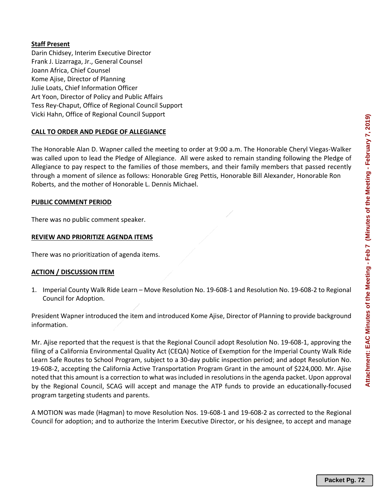### **Staff Present**

Darin Chidsey, Interim Executive Director Frank J. Lizarraga, Jr., General Counsel Joann Africa, Chief Counsel Kome Ajise, Director of Planning Julie Loats, Chief Information Officer Art Yoon, Director of Policy and Public Affairs Tess Rey‐Chaput, Office of Regional Council Support Vicki Hahn, Office of Regional Council Support

### **CALL TO ORDER AND PLEDGE OF ALLEGIANCE**

The Honorable Alan D. Wapner called the meeting to order at 9:00 a.m. The Honorable Cheryl Viegas‐Walker was called upon to lead the Pledge of Allegiance. All were asked to remain standing following the Pledge of Allegiance to pay respect to the families of those members, and their family members that passed recently through a moment of silence as follows: Honorable Greg Pettis, Honorable Bill Alexander, Honorable Ron Roberts, and the mother of Honorable L. Dennis Michael.

#### **PUBLIC COMMENT PERIOD**

There was no public comment speaker.

#### **REVIEW AND PRIORITIZE AGENDA ITEMS**

There was no prioritization of agenda items.

#### **ACTION / DISCUSSION ITEM**

1. Imperial County Walk Ride Learn – Move Resolution No. 19‐608‐1 and Resolution No. 19‐608‐2 to Regional Council for Adoption.

President Wapner introduced the item and introduced Kome Ajise, Director of Planning to provide background information.

Mr. Ajise reported that the request is that the Regional Council adopt Resolution No. 19‐608‐1, approving the filing of a California Environmental Quality Act (CEQA) Notice of Exemption for the Imperial County Walk Ride Learn Safe Routes to School Program, subject to a 30‐day public inspection period; and adopt Resolution No. 19‐608‐2, accepting the California Active Transportation Program Grant in the amount of \$224,000. Mr. Ajise noted that this amount is a correction to what was included in resolutions in the agenda packet. Upon approval by the Regional Council, SCAG will accept and manage the ATP funds to provide an educationally‐focused program targeting students and parents.

A MOTION was made (Hagman) to move Resolution Nos. 19‐608‐1 and 19‐608‐2 as corrected to the Regional Council for adoption; and to authorize the Interim Executive Director, or his designee, to accept and manage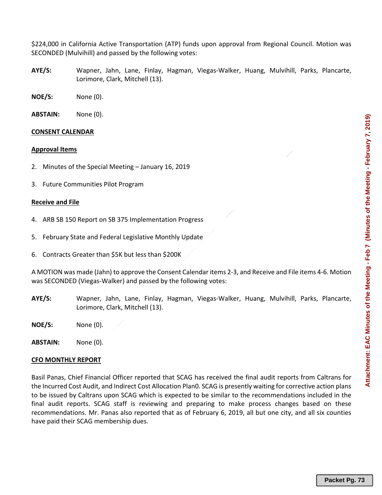\$224,000 in California Active Transportation (ATP) funds upon approval from Regional Council. Motion was SECONDED (Mulvihill) and passed by the following votes:

- **AYE/S:** Wapner, Jahn, Lane, Finlay, Hagman, Viegas‐Walker, Huang, Mulvihill, Parks, Plancarte, Lorimore, Clark, Mitchell (13).
- **NOE/S:**  None (0).
- **ABSTAIN:**  None (0).

#### **CONSENT CALENDAR**

#### **Approval Items**

- 2. Minutes of the Special Meeting January 16, 2019
- 3. Future Communities Pilot Program

#### **Receive and File**

- 4. ARB SB 150 Report on SB 375 Implementation Progress
- 5. February State and Federal Legislative Monthly Update
- 6. Contracts Greater than \$5K but less than \$200K

A MOTION was made (Jahn) to approve the Consent Calendar items 2‐3, and Receive and File items 4‐6. Motion was SECONDED (Viegas-Walker) and passed by the following votes:

- **AYE/S:** Wapner, Jahn, Lane, Finlay, Hagman, Viegas‐Walker, Huang, Mulvihill, Parks, Plancarte, Lorimore, Clark, Mitchell (13).
- **NOE/S:**  None (0).

**ABSTAIN:** None (0).

#### **CFO MONTHLY REPORT**

Basil Panas, Chief Financial Officer reported that SCAG has received the final audit reports from Caltrans for the Incurred Cost Audit, and Indirect Cost Allocation Plan0. SCAG is presently waiting for corrective action plans to be issued by Caltrans upon SCAG which is expected to be similar to the recommendations included in the final audit reports. SCAG staff is reviewing and preparing to make process changes based on these recommendations. Mr. Panas also reported that as of February 6, 2019, all but one city, and all six counties have paid their SCAG membership dues.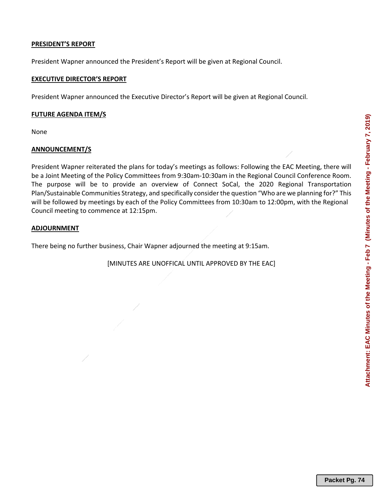# **PRESIDENT'S REPORT**

President Wapner announced the President's Report will be given at Regional Council.

## **EXECUTIVE DIRECTOR'S REPORT**

President Wapner announced the Executive Director's Report will be given at Regional Council.

## **FUTURE AGENDA ITEM/S**

None

# **ANNOUNCEMENT/S**

President Wapner reiterated the plans for today's meetings as follows: Following the EAC Meeting, there will be a Joint Meeting of the Policy Committees from 9:30am-10:30am in the Regional Council Conference Room. The purpose will be to provide an overview of Connect SoCal, the 2020 Regional Transportation Plan/Sustainable Communities Strategy, and specifically consider the question "Who are we planning for?" This will be followed by meetings by each of the Policy Committees from 10:30am to 12:00pm, with the Regional Council meeting to commence at 12:15pm.

# **ADJOURNMENT**

There being no further business, Chair Wapner adjourned the meeting at 9:15am.

[MINUTES ARE UNOFFICAL UNTIL APPROVED BY THE EAC]